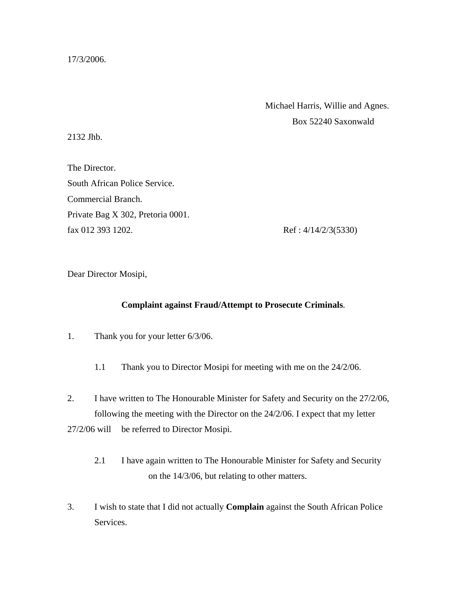17/3/2006.

 Michael Harris, Willie and Agnes. Box 52240 Saxonwald

2132 Jhb.

The Director. South African Police Service. Commercial Branch. Private Bag X 302, Pretoria 0001. fax 012 393 1202. Ref: 4/14/2/3(5330)

Dear Director Mosipi,

## **Complaint against Fraud/Attempt to Prosecute Criminals**.

- 1. Thank you for your letter 6/3/06.
	- 1.1 Thank you to Director Mosipi for meeting with me on the 24/2/06.

2. I have written to The Honourable Minister for Safety and Security on the 27/2/06, following the meeting with the Director on the 24/2/06. I expect that my letter 27/2/06 will be referred to Director Mosipi.

- 2.1 I have again written to The Honourable Minister for Safety and Security on the 14/3/06, but relating to other matters.
- 3. I wish to state that I did not actually **Complain** against the South African Police Services.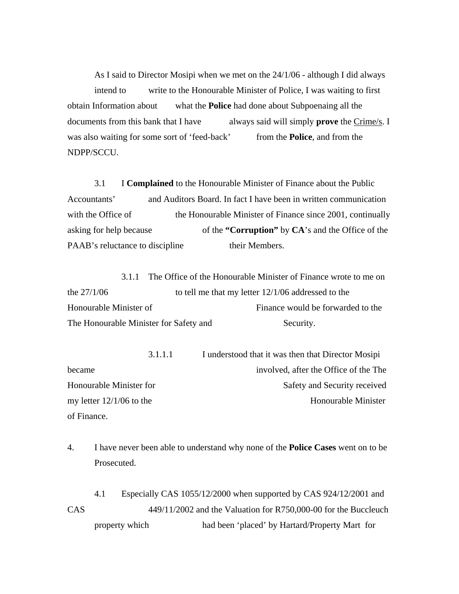As I said to Director Mosipi when we met on the 24/1/06 - although I did always intend to write to the Honourable Minister of Police, I was waiting to first obtain Information about what the **Police** had done about Subpoenaing all the documents from this bank that I have always said will simply **prove** the Crime/s. I was also waiting for some sort of 'feed-back' from the **Police**, and from the NDPP/SCCU.

 3.1 I **Complained** to the Honourable Minister of Finance about the Public Accountants' and Auditors Board. In fact I have been in written communication with the Office of the Honourable Minister of Finance since 2001, continually asking for help because of the **"Corruption"** by **CA**'s and the Office of the PAAB's reluctance to discipline their Members.

 3.1.1 The Office of the Honourable Minister of Finance wrote to me on the 27/1/06 to tell me that my letter 12/1/06 addressed to the Honourable Minister of Finance would be forwarded to the The Honourable Minister for Safety and Security.

 3.1.1.1 I understood that it was then that Director Mosipi became involved, after the Office of the The Honourable Minister for Safety and Security received my letter 12/1/06 to the Honourable Minister of Finance.

4. I have never been able to understand why none of the **Police Cases** went on to be Prosecuted.

 4.1 Especially CAS 1055/12/2000 when supported by CAS 924/12/2001 and CAS 449/11/2002 and the Valuation for R750,000-00 for the Buccleuch property which had been 'placed' by Hartard/Property Mart for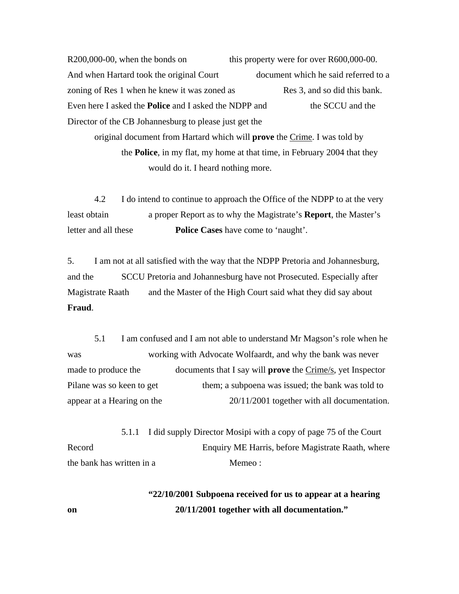R200,000-00, when the bonds on this property were for over R600,000-00. And when Hartard took the original Court document which he said referred to a zoning of Res 1 when he knew it was zoned as Res 3, and so did this bank. Even here I asked the **Police** and I asked the NDPP and the SCCU and the Director of the CB Johannesburg to please just get the

 original document from Hartard which will **prove** the Crime. I was told by the **Police**, in my flat, my home at that time, in February 2004 that they would do it. I heard nothing more.

 4.2 I do intend to continue to approach the Office of the NDPP to at the very least obtain a proper Report as to why the Magistrate's **Report**, the Master's letter and all these **Police Cases** have come to 'naught'.

5. I am not at all satisfied with the way that the NDPP Pretoria and Johannesburg, and the SCCU Pretoria and Johannesburg have not Prosecuted. Especially after Magistrate Raath and the Master of the High Court said what they did say about **Fraud**.

 5.1 I am confused and I am not able to understand Mr Magson's role when he was working with Advocate Wolfaardt, and why the bank was never made to produce the documents that I say will **prove** the Crime/s, yet Inspector Pilane was so keen to get them; a subpoena was issued; the bank was told to appear at a Hearing on the 20/11/2001 together with all documentation.

 5.1.1 I did supply Director Mosipi with a copy of page 75 of the Court Record Enquiry ME Harris, before Magistrate Raath, where the bank has written in a member of Memeo:

 **"22/10/2001 Subpoena received for us to appear at a hearing on 20/11/2001 together with all documentation."**